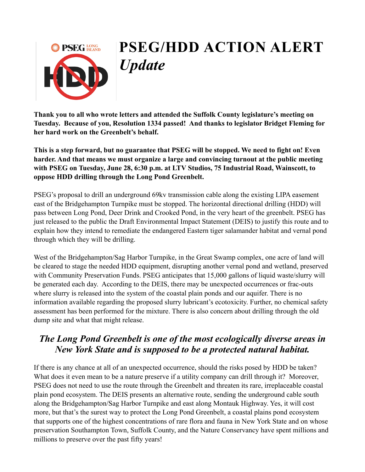

# **PSEG/HDD ACTION ALERT**  *Update*

**Thank you to all who wrote letters and attended the Suffolk County legislature's meeting on Tuesday. Because of you, Resolution 1334 passed! And thanks to legislator Bridget Fleming for her hard work on the Greenbelt's behalf.**

**This is a step forward, but no guarantee that PSEG will be stopped. We need to fight on! Even harder. And that means we must organize a large and convincing turnout at the public meeting with PSEG on Tuesday, June 28, 6:30 p.m. at LTV Studios, 75 Industrial Road, Wainscott, to oppose HDD drilling through the Long Pond Greenbelt.**

PSEG's proposal to drill an underground 69kv transmission cable along the existing LIPA easement east of the Bridgehampton Turnpike must be stopped. The horizontal directional drilling (HDD) will pass between Long Pond, Deer Drink and Crooked Pond, in the very heart of the greenbelt. PSEG has just released to the public the Draft Environmental Impact Statement (DEIS) to justify this route and to explain how they intend to remediate the endangered Eastern tiger salamander habitat and vernal pond through which they will be drilling.

West of the Bridgehampton/Sag Harbor Turnpike, in the Great Swamp complex, one acre of land will be cleared to stage the needed HDD equipment, disrupting another vernal pond and wetland, preserved with Community Preservation Funds. PSEG anticipates that 15,000 gallons of liquid waste/slurry will be generated each day. According to the DEIS, there may be unexpected occurrences or frac-outs where slurry is released into the system of the coastal plain ponds and our aquifer. There is no information available regarding the proposed slurry lubricant's ecotoxicity. Further, no chemical safety assessment has been performed for the mixture. There is also concern about drilling through the old dump site and what that might release.

### *The Long Pond Greenbelt is one of the most ecologically diverse areas in New York State and is supposed to be a protected natural habitat.*

If there is any chance at all of an unexpected occurrence, should the risks posed by HDD be taken? What does it even mean to be a nature preserve if a utility company can drill through it? Moreover, PSEG does not need to use the route through the Greenbelt and threaten its rare, irreplaceable coastal plain pond ecosystem. The DEIS presents an alternative route, sending the underground cable south along the Bridgehampton/Sag Harbor Turnpike and east along Montauk Highway. Yes, it will cost more, but that's the surest way to protect the Long Pond Greenbelt, a coastal plains pond ecosystem that supports one of the highest concentrations of rare flora and fauna in New York State and on whose preservation Southampton Town, Suffolk County, and the Nature Conservancy have spent millions and millions to preserve over the past fifty years!